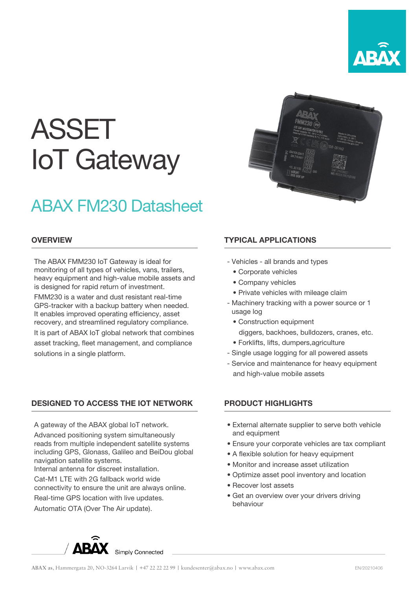

# ASSET IoT Gateway

# ABAX FM230 Datasheet

### **OVERVIEW**

The ABAX FMM230 IoT Gateway is ideal for monitoring of all types of vehicles, vans, trailers, heavy equipment and high-value mobile assets and is designed for rapid return of investment.

FMM230 is a water and dust resistant real-time GPS-tracker with a backup battery when needed. It enables improved operating efficiency, asset recovery, and streamlined regulatory compliance. It is part of ABAX IoT global network that combines asset tracking, fleet management, and compliance solutions in a single platform.

# DESIGNED TO ACCESS THE IOT NETWORK

A gateway of the ABAX global IoT network.

Advanced positioning system simultaneously reads from multiple independent satellite systems including GPS, Glonass, Galileo and BeiDou global navigation satellite systems.

Internal antenna for discreet installation.

Cat-M1 LTE with 2G fallback world wide

connectivity to ensure the unit are always online.

Real-time GPS location with live updates.

Automatic OTA (Over The Air update).

## TYPICAL APPLICATIONS

- Vehicles all brands and types
	- Corporate vehicles
	- Company vehicles
	- Private vehicles with mileage claim
- Machinery tracking with a power source or 1 usage log
	- Construction equipment
	- diggers, backhoes, bulldozers, cranes, etc.
	- Forklifts, lifts, dumpers,agriculture
- Single usage logging for all powered assets
- Service and maintenance for heavy equipment and high-value mobile assets

### PRODUCT HIGHLIGHTS

- External alternate supplier to serve both vehicle and equipment
- Ensure your corporate vehicles are tax compliant
- A flexible solution for heavy equipment
- Monitor and increase asset utilization
- Optimize asset pool inventory and location
- Recover lost assets
- Get an overview over your drivers driving • behaviour